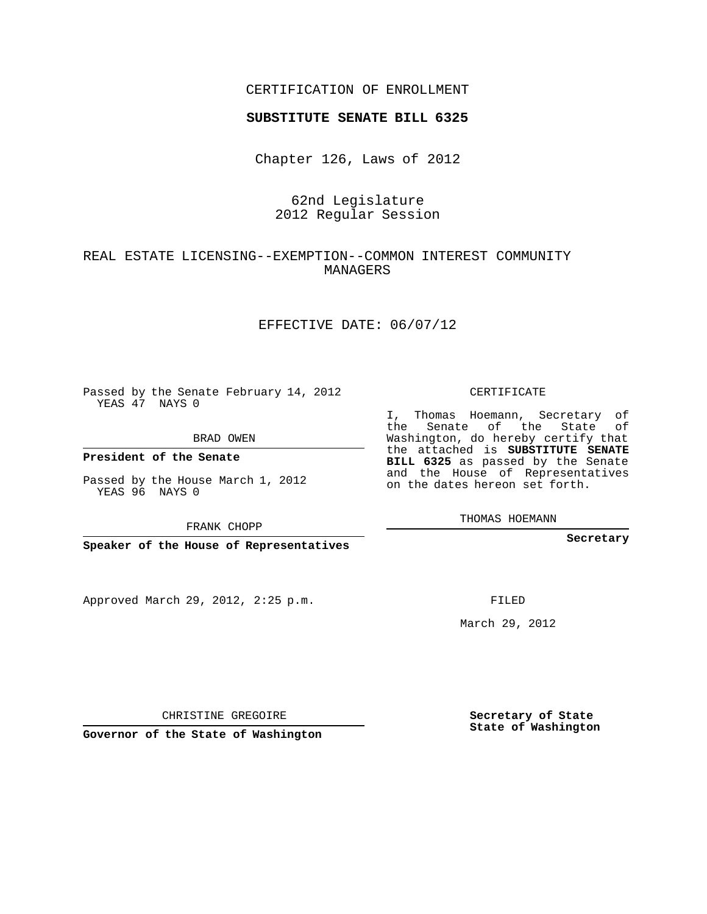#### CERTIFICATION OF ENROLLMENT

#### **SUBSTITUTE SENATE BILL 6325**

Chapter 126, Laws of 2012

## 62nd Legislature 2012 Regular Session

## REAL ESTATE LICENSING--EXEMPTION--COMMON INTEREST COMMUNITY MANAGERS

#### EFFECTIVE DATE: 06/07/12

Passed by the Senate February 14, 2012 YEAS 47 NAYS 0

BRAD OWEN

Passed by the House March 1, 2012 YEAS 96 NAYS 0

FRANK CHOPP

Approved March 29, 2012, 2:25 p.m.

CERTIFICATE

I, Thomas Hoemann, Secretary of the Senate of the State of Washington, do hereby certify that the attached is **SUBSTITUTE SENATE BILL 6325** as passed by the Senate and the House of Representatives on the dates hereon set forth.

THOMAS HOEMANN

**Secretary**

FILED

March 29, 2012

**Secretary of State State of Washington**

CHRISTINE GREGOIRE

**Governor of the State of Washington**

**President of the Senate**

**Speaker of the House of Representatives**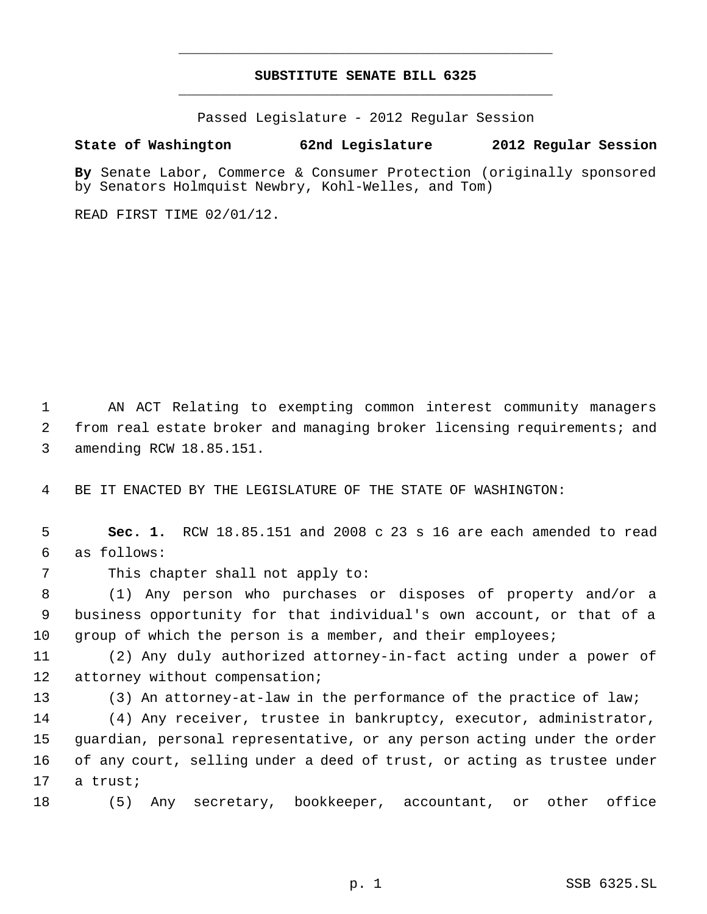# **SUBSTITUTE SENATE BILL 6325** \_\_\_\_\_\_\_\_\_\_\_\_\_\_\_\_\_\_\_\_\_\_\_\_\_\_\_\_\_\_\_\_\_\_\_\_\_\_\_\_\_\_\_\_\_

\_\_\_\_\_\_\_\_\_\_\_\_\_\_\_\_\_\_\_\_\_\_\_\_\_\_\_\_\_\_\_\_\_\_\_\_\_\_\_\_\_\_\_\_\_

Passed Legislature - 2012 Regular Session

### **State of Washington 62nd Legislature 2012 Regular Session**

**By** Senate Labor, Commerce & Consumer Protection (originally sponsored by Senators Holmquist Newbry, Kohl-Welles, and Tom)

READ FIRST TIME 02/01/12.

 1 AN ACT Relating to exempting common interest community managers 2 from real estate broker and managing broker licensing requirements; and 3 amending RCW 18.85.151.

4 BE IT ENACTED BY THE LEGISLATURE OF THE STATE OF WASHINGTON:

 5 **Sec. 1.** RCW 18.85.151 and 2008 c 23 s 16 are each amended to read 6 as follows:

7 This chapter shall not apply to:

 8 (1) Any person who purchases or disposes of property and/or a 9 business opportunity for that individual's own account, or that of a 10 group of which the person is a member, and their employees;

11 (2) Any duly authorized attorney-in-fact acting under a power of 12 attorney without compensation;

13 (3) An attorney-at-law in the performance of the practice of law;

 (4) Any receiver, trustee in bankruptcy, executor, administrator, guardian, personal representative, or any person acting under the order of any court, selling under a deed of trust, or acting as trustee under 17 a trust;

18 (5) Any secretary, bookkeeper, accountant, or other office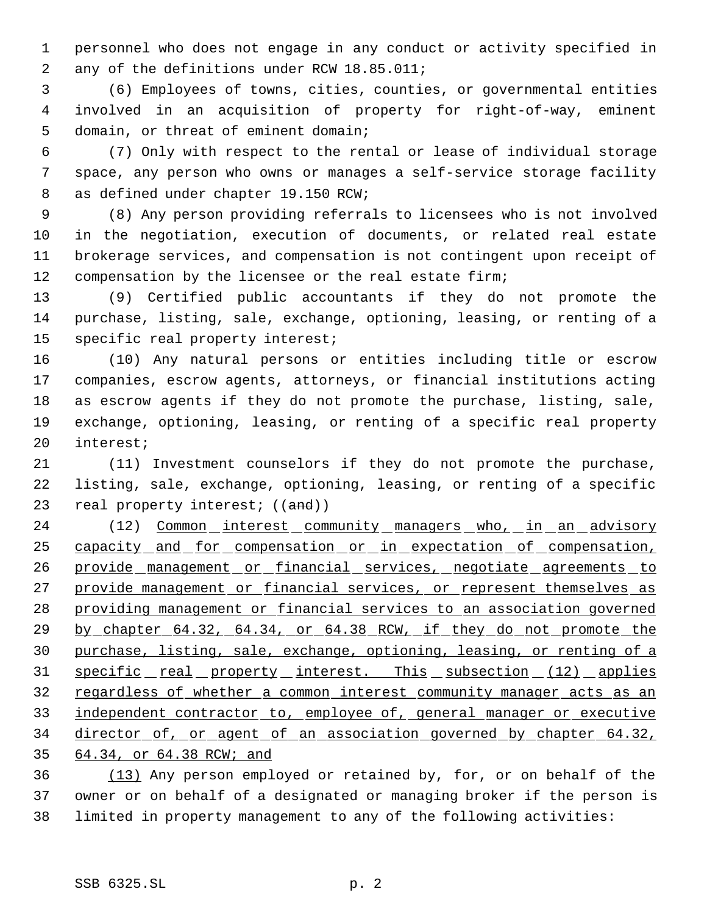personnel who does not engage in any conduct or activity specified in 2 any of the definitions under RCW 18.85.011;

 (6) Employees of towns, cities, counties, or governmental entities involved in an acquisition of property for right-of-way, eminent domain, or threat of eminent domain;

 (7) Only with respect to the rental or lease of individual storage space, any person who owns or manages a self-service storage facility as defined under chapter 19.150 RCW;

 (8) Any person providing referrals to licensees who is not involved in the negotiation, execution of documents, or related real estate brokerage services, and compensation is not contingent upon receipt of compensation by the licensee or the real estate firm;

 (9) Certified public accountants if they do not promote the purchase, listing, sale, exchange, optioning, leasing, or renting of a specific real property interest;

 (10) Any natural persons or entities including title or escrow companies, escrow agents, attorneys, or financial institutions acting as escrow agents if they do not promote the purchase, listing, sale, exchange, optioning, leasing, or renting of a specific real property interest;

 (11) Investment counselors if they do not promote the purchase, listing, sale, exchange, optioning, leasing, or renting of a specific 23 real property interest; ((and))

24 (12) Common interest community managers who, in an advisory 25 capacity and for compensation or in expectation of compensation, 26 provide management or financial services, negotiate agreements to 27 provide management or financial services, or represent themselves as providing management or financial services to an association governed 29 by chapter 64.32, 64.34, or 64.38 RCW, if they do not promote the purchase, listing, sale, exchange, optioning, leasing, or renting of a 31 specific real property interest. This subsection (12) applies 32 regardless of whether a common interest community manager acts as an 33 independent contractor to, employee of, general manager or executive director of, or agent of an association governed by chapter 64.32, 64.34, or 64.38 RCW; and

 (13) Any person employed or retained by, for, or on behalf of the owner or on behalf of a designated or managing broker if the person is limited in property management to any of the following activities: